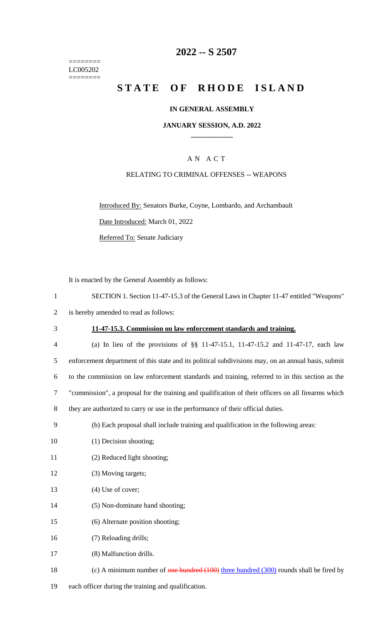======== LC005202  $=$ 

# **2022 -- S 2507**

# **STATE OF RHODE ISLAND**

#### **IN GENERAL ASSEMBLY**

#### **JANUARY SESSION, A.D. 2022 \_\_\_\_\_\_\_\_\_\_\_\_**

### A N A C T

### RELATING TO CRIMINAL OFFENSES -- WEAPONS

Introduced By: Senators Burke, Coyne, Lombardo, and Archambault

Date Introduced: March 01, 2022

Referred To: Senate Judiciary

It is enacted by the General Assembly as follows:

| $\mathbf{1}$   | SECTION 1. Section 11-47-15.3 of the General Laws in Chapter 11-47 entitled "Weapons"               |
|----------------|-----------------------------------------------------------------------------------------------------|
| 2              | is hereby amended to read as follows:                                                               |
| 3              | 11-47-15.3. Commission on law enforcement standards and training.                                   |
| $\overline{4}$ | (a) In lieu of the provisions of $\S$ 11-47-15.1, 11-47-15.2 and 11-47-17, each law                 |
| 5              | enforcement department of this state and its political subdivisions may, on an annual basis, submit |
| 6              | to the commission on law enforcement standards and training, referred to in this section as the     |
| 7              | "commission", a proposal for the training and qualification of their officers on all firearms which |
| 8              | they are authorized to carry or use in the performance of their official duties.                    |
| 9              | (b) Each proposal shall include training and qualification in the following areas:                  |
| 10             | (1) Decision shooting;                                                                              |
| 11             | (2) Reduced light shooting;                                                                         |
| 12             | (3) Moving targets;                                                                                 |
| 13             | $(4)$ Use of cover;                                                                                 |
|                |                                                                                                     |

- 14 (5) Non-dominate hand shooting;
- 15 (6) Alternate position shooting;

16 (7) Reloading drills;

17 (8) Malfunction drills.

- 18 (c) A minimum number of one hundred (100) three hundred (300) rounds shall be fired by
- 19 each officer during the training and qualification.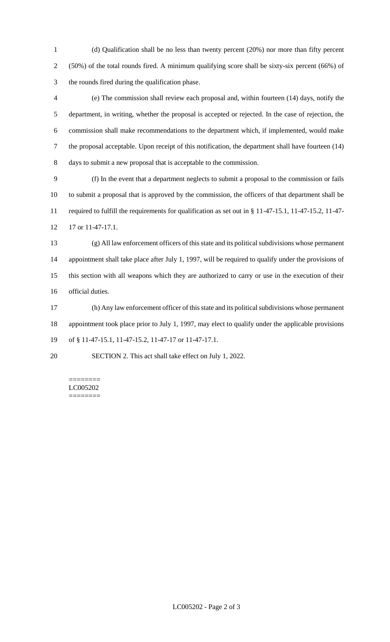(d) Qualification shall be no less than twenty percent (20%) nor more than fifty percent (50%) of the total rounds fired. A minimum qualifying score shall be sixty-six percent (66%) of the rounds fired during the qualification phase.

 (e) The commission shall review each proposal and, within fourteen (14) days, notify the department, in writing, whether the proposal is accepted or rejected. In the case of rejection, the commission shall make recommendations to the department which, if implemented, would make the proposal acceptable. Upon receipt of this notification, the department shall have fourteen (14) days to submit a new proposal that is acceptable to the commission.

 (f) In the event that a department neglects to submit a proposal to the commission or fails to submit a proposal that is approved by the commission, the officers of that department shall be required to fulfill the requirements for qualification as set out in § 11-47-15.1, 11-47-15.2, 11-47- 17 or 11-47-17.1.

 (g) All law enforcement officers of this state and its political subdivisions whose permanent appointment shall take place after July 1, 1997, will be required to qualify under the provisions of this section with all weapons which they are authorized to carry or use in the execution of their official duties.

 (h) Any law enforcement officer of this state and its political subdivisions whose permanent appointment took place prior to July 1, 1997, may elect to qualify under the applicable provisions of § 11-47-15.1, 11-47-15.2, 11-47-17 or 11-47-17.1.

SECTION 2. This act shall take effect on July 1, 2022.

======== LC005202 ========